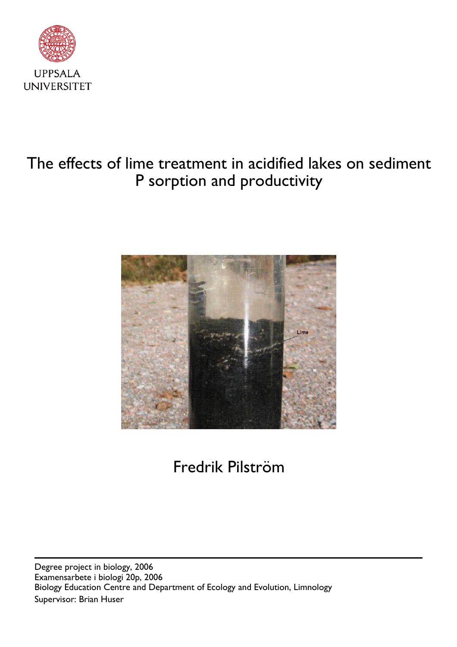

## The effects of lime treatment in acidified lakes on sediment P sorption and productivity



# Fredrik Pilström

Supervisor: Brian Huser Biology Education Centre and Department of Ecology and Evolution, Limnology Degree project in biology, 2006 Examensarbete i biologi 20p, 2006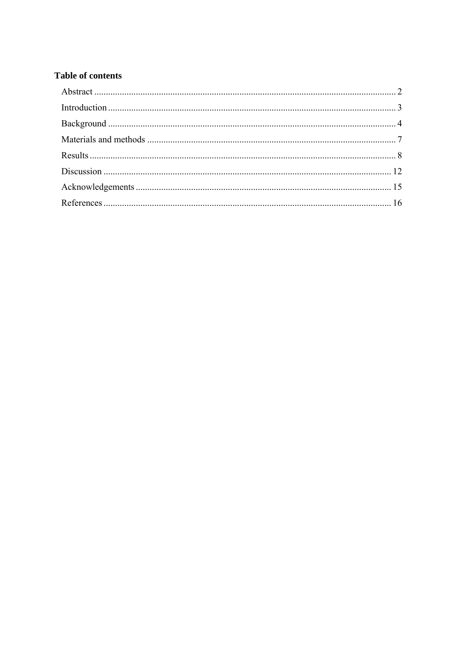### **Table of contents**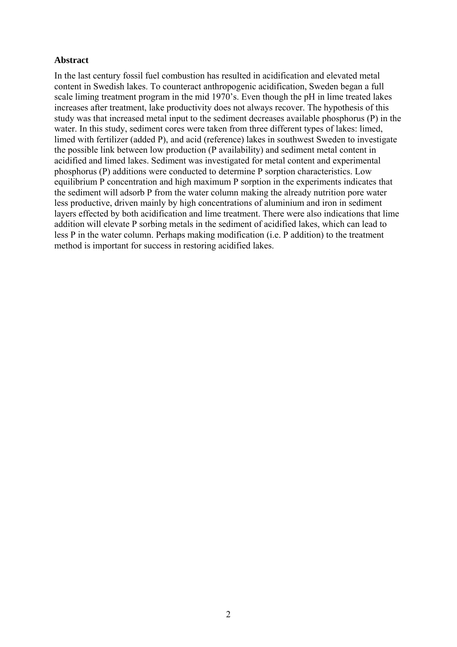#### **Abstract**

In the last century fossil fuel combustion has resulted in acidification and elevated metal content in Swedish lakes. To counteract anthropogenic acidification, Sweden began a full scale liming treatment program in the mid 1970's. Even though the pH in lime treated lakes increases after treatment, lake productivity does not always recover. The hypothesis of this study was that increased metal input to the sediment decreases available phosphorus (P) in the water. In this study, sediment cores were taken from three different types of lakes: limed, limed with fertilizer (added P), and acid (reference) lakes in southwest Sweden to investigate the possible link between low production (P availability) and sediment metal content in acidified and limed lakes. Sediment was investigated for metal content and experimental phosphorus (P) additions were conducted to determine P sorption characteristics. Low equilibrium P concentration and high maximum P sorption in the experiments indicates that the sediment will adsorb P from the water column making the already nutrition pore water less productive, driven mainly by high concentrations of aluminium and iron in sediment layers effected by both acidification and lime treatment. There were also indications that lime addition will elevate P sorbing metals in the sediment of acidified lakes, which can lead to less P in the water column. Perhaps making modification (i.e. P addition) to the treatment method is important for success in restoring acidified lakes.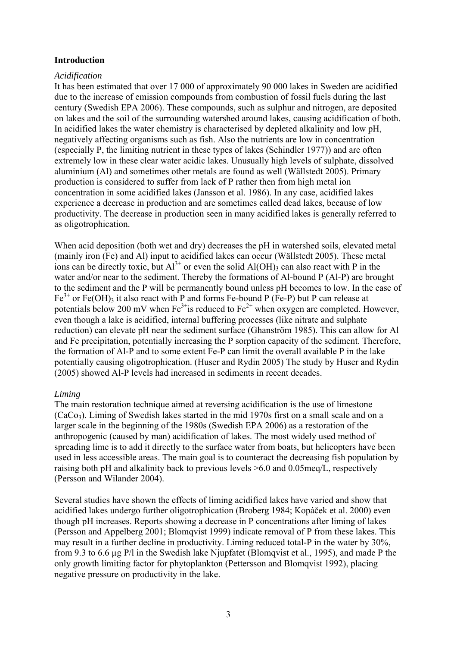#### **Introduction**

#### *Acidification*

It has been estimated that over 17 000 of approximately 90 000 lakes in Sweden are acidified due to the increase of emission compounds from combustion of fossil fuels during the last century (Swedish EPA 2006). These compounds, such as sulphur and nitrogen, are deposited on lakes and the soil of the surrounding watershed around lakes, causing acidification of both. In acidified lakes the water chemistry is characterised by depleted alkalinity and low pH, negatively affecting organisms such as fish. Also the nutrients are low in concentration (especially P, the limiting nutrient in these types of lakes (Schindler 1977)) and are often extremely low in these clear water acidic lakes. Unusually high levels of sulphate, dissolved aluminium (Al) and sometimes other metals are found as well (Wällstedt 2005). Primary production is considered to suffer from lack of P rather then from high metal ion concentration in some acidified lakes (Jansson et al. 1986). In any case, acidified lakes experience a decrease in production and are sometimes called dead lakes, because of low productivity. The decrease in production seen in many acidified lakes is generally referred to as oligotrophication.

When acid deposition (both wet and dry) decreases the pH in watershed soils, elevated metal (mainly iron (Fe) and Al) input to acidified lakes can occur (Wällstedt 2005). These metal ions can be directly toxic, but  $Al^{3+}$  or even the solid  $Al(OH)$ <sub>3</sub> can also react with P in the water and/or near to the sediment. Thereby the formations of Al-bound P (Al-P) are brought to the sediment and the P will be permanently bound unless pH becomes to low. In the case of  $Fe<sup>3+</sup>$  or Fe(OH)<sub>3</sub> it also react with P and forms Fe-bound P (Fe-P) but P can release at potentials below 200 mV when  $Fe^{3+}$  is reduced to  $Fe^{2+}$  when oxygen are completed. However, even though a lake is acidified, internal buffering processes (like nitrate and sulphate reduction) can elevate pH near the sediment surface (Ghanström 1985). This can allow for Al and Fe precipitation, potentially increasing the P sorption capacity of the sediment. Therefore, the formation of Al-P and to some extent Fe-P can limit the overall available P in the lake potentially causing oligotrophication. (Huser and Rydin 2005) The study by Huser and Rydin (2005) showed Al-P levels had increased in sediments in recent decades.

#### *Liming*

The main restoration technique aimed at reversing acidification is the use of limestone  $(CaCo<sub>3</sub>)$ . Liming of Swedish lakes started in the mid 1970s first on a small scale and on a larger scale in the beginning of the 1980s (Swedish EPA 2006) as a restoration of the anthropogenic (caused by man) acidification of lakes. The most widely used method of spreading lime is to add it directly to the surface water from boats, but helicopters have been used in less accessible areas. The main goal is to counteract the decreasing fish population by raising both pH and alkalinity back to previous levels >6.0 and 0.05meq/L, respectively (Persson and Wilander 2004).

Several studies have shown the effects of liming acidified lakes have varied and show that acidified lakes undergo further oligotrophication (Broberg 1984; Kopáček et al. 2000) even though pH increases. Reports showing a decrease in P concentrations after liming of lakes (Persson and Appelberg 2001; Blomqvist 1999) indicate removal of P from these lakes. This may result in a further decline in productivity. Liming reduced total-P in the water by 30%, from 9.3 to 6.6 µg P/l in the Swedish lake Njupfatet (Blomqvist et al., 1995), and made P the only growth limiting factor for phytoplankton (Pettersson and Blomqvist 1992), placing negative pressure on productivity in the lake.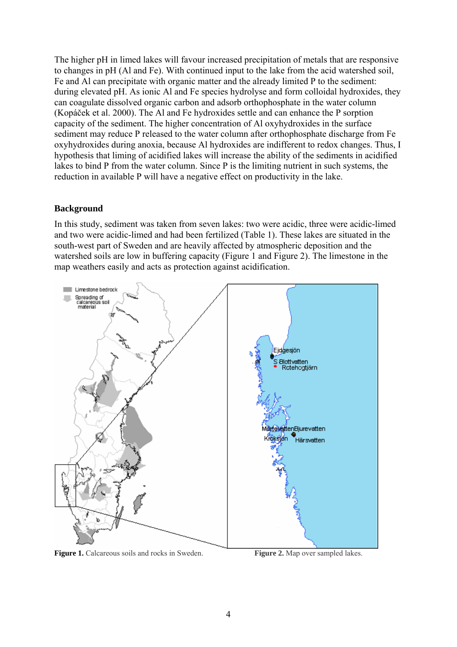The higher pH in limed lakes will favour increased precipitation of metals that are responsive to changes in pH (Al and Fe). With continued input to the lake from the acid watershed soil, Fe and Al can precipitate with organic matter and the already limited P to the sediment: during elevated pH. As ionic Al and Fe species hydrolyse and form colloidal hydroxides, they can coagulate dissolved organic carbon and adsorb orthophosphate in the water column (Kopáček et al. 2000). The Al and Fe hydroxides settle and can enhance the P sorption capacity of the sediment. The higher concentration of Al oxyhydroxides in the surface sediment may reduce P released to the water column after orthophosphate discharge from Fe oxyhydroxides during anoxia, because Al hydroxides are indifferent to redox changes. Thus, I hypothesis that liming of acidified lakes will increase the ability of the sediments in acidified lakes to bind P from the water column. Since P is the limiting nutrient in such systems, the reduction in available P will have a negative effect on productivity in the lake.

#### **Background**

In this study, sediment was taken from seven lakes: two were acidic, three were acidic-limed and two were acidic-limed and had been fertilized (Table 1). These lakes are situated in the south-west part of Sweden and are heavily affected by atmospheric deposition and the watershed soils are low in buffering capacity (Figure 1 and Figure 2). The limestone in the map weathers easily and acts as protection against acidification.



**Figure 1.** Calcareous soils and rocks in Sweden. **Figure 2.** Map over sampled lakes.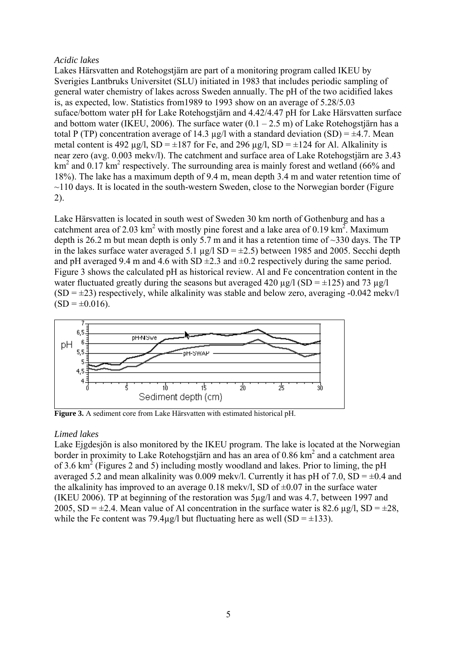#### *Acidic lakes*

Lakes Härsvatten and Rotehogstjärn are part of a monitoring program called IKEU by Sverigies Lantbruks Universitet (SLU) initiated in 1983 that includes periodic sampling of general water chemistry of lakes across Sweden annually. The pH of the two acidified lakes is, as expected, low. Statistics from1989 to 1993 show on an average of 5.28/5.03 suface/bottom water pH for Lake Rotehogstjärn and 4.42/4.47 pH for Lake Härsvatten surface and bottom water (IKEU, 2006). The surface water  $(0.1 - 2.5 \text{ m})$  of Lake Rotehogstjärn has a total P (TP) concentration average of 14.3  $\mu$ g/l with a standard deviation (SD) =  $\pm$ 4.7. Mean metal content is 492  $\mu$ g/l, SD =  $\pm$ 187 for Fe, and 296  $\mu$ g/l, SD =  $\pm$ 124 for Al. Alkalinity is near zero (avg. 0.003 mekv/l). The catchment and surface area of Lake Rotehogstjärn are 3.43  $km<sup>2</sup>$  and 0.17 km<sup>2</sup> respectively. The surrounding area is mainly forest and wetland (66% and 18%). The lake has a maximum depth of 9.4 m, mean depth 3.4 m and water retention time of  $\sim$ 110 days. It is located in the south-western Sweden, close to the Norwegian border (Figure) 2).

Lake Härsvatten is located in south west of Sweden 30 km north of Gothenburg and has a catchment area of 2.03 km<sup>2</sup> with mostly pine forest and a lake area of 0.19 km<sup>2</sup>. Maximum depth is 26.2 m but mean depth is only 5.7 m and it has a retention time of  $\sim$ 330 days. The TP in the lakes surface water averaged 5.1  $\mu$ g/l SD =  $\pm$ 2.5) between 1985 and 2005. Secchi depth and pH averaged 9.4 m and 4.6 with SD  $\pm$ 2.3 and  $\pm$ 0.2 respectively during the same period. Figure 3 shows the calculated pH as historical review. Al and Fe concentration content in the water fluctuated greatly during the seasons but averaged 420  $\mu$ g/l (SD = ±125) and 73  $\mu$ g/l  $(SD = \pm 23)$  respectively, while alkalinity was stable and below zero, averaging -0.042 mekv/l  $(SD = \pm 0.016)$ .



**Figure 3.** A sediment core from Lake Härsvatten with estimated historical pH.

#### *Limed lakes*

Lake Ejgdesjön is also monitored by the IKEU program. The lake is located at the Norwegian border in proximity to Lake Rotehogstjärn and has an area of  $0.86 \text{ km}^2$  and a catchment area of 3.6  $\text{km}^2$  (Figures 2 and 5) including mostly woodland and lakes. Prior to liming, the pH averaged 5.2 and mean alkalinity was 0.009 meky/l. Currently it has pH of 7.0,  $SD = \pm 0.4$  and the alkalinity has improved to an average  $0.18$  mekv/l, SD of  $\pm 0.07$  in the surface water (IKEU 2006). TP at beginning of the restoration was 5µg/l and was 4.7, between 1997 and 2005, SD =  $\pm$ 2.4. Mean value of Al concentration in the surface water is 82.6  $\mu$ g/l, SD =  $\pm$ 28, while the Fe content was 79.4µg/l but fluctuating here as well  $(SD = \pm 133)$ .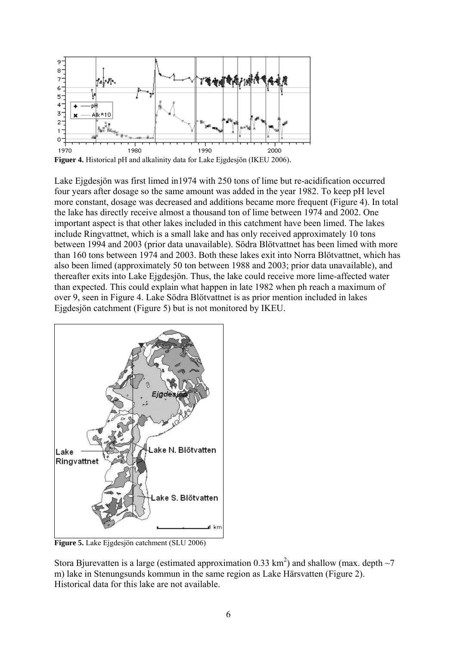

**Figuer 4.** Historical pH and alkalinity data for Lake Ejgdesjön (IKEU 2006).

Lake Ejgdesjön was first limed in1974 with 250 tons of lime but re-acidification occurred four years after dosage so the same amount was added in the year 1982. To keep pH level more constant, dosage was decreased and additions became more frequent (Figure 4). In total the lake has directly receive almost a thousand ton of lime between 1974 and 2002. One important aspect is that other lakes included in this catchment have been limed. The lakes include Ringvattnet, which is a small lake and has only received approximately 10 tons between 1994 and 2003 (prior data unavailable). Södra Blötvattnet has been limed with more than 160 tons between 1974 and 2003. Both these lakes exit into Norra Blötvattnet, which has also been limed (approximately 50 ton between 1988 and 2003; prior data unavailable), and thereafter exits into Lake Ejgdesjön. Thus, the lake could receive more lime-affected water than expected. This could explain what happen in late 1982 when ph reach a maximum of over 9, seen in Figure 4. Lake Södra Blötvattnet is as prior mention included in lakes Ejgdesjön catchment (Figure 5) but is not monitored by IKEU.



**Figure 5.** Lake Ejgdesjön catchment (SLU 2006)

Stora Bjurevatten is a large (estimated approximation 0.33 km<sup>2</sup>) and shallow (max. depth  $\sim$ 7 m) lake in Stenungsunds kommun in the same region as Lake Härsvatten (Figure 2). Historical data for this lake are not available.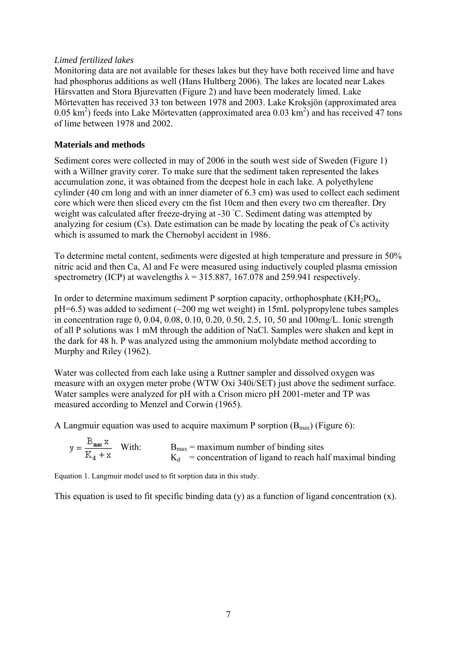#### *Limed fertilized lakes*

Monitoring data are not available for theses lakes but they have both received lime and have had phosphorus additions as well (Hans Hultberg 2006). The lakes are located near Lakes Härsvatten and Stora Bjurevatten (Figure 2) and have been moderately limed. Lake Mörtevatten has received 33 ton between 1978 and 2003. Lake Kroksjön (approximated area  $(0.05 \text{ km}^2)$  feeds into Lake Mörtevatten (approximated area  $(0.03 \text{ km}^2)$  and has received 47 tons of lime between 1978 and 2002.

#### **Materials and methods**

Sediment cores were collected in may of 2006 in the south west side of Sweden (Figure 1) with a Willner gravity corer. To make sure that the sediment taken represented the lakes accumulation zone, it was obtained from the deepest hole in each lake. A polyethylene cylinder (40 cm long and with an inner diameter of 6.3 cm) was used to collect each sediment core which were then sliced every cm the fist 10cm and then every two cm thereafter. Dry weight was calculated after freeze-drying at -30 °C. Sediment dating was attempted by analyzing for cesium (Cs). Date estimation can be made by locating the peak of Cs activity which is assumed to mark the Chernobyl accident in 1986.

To determine metal content, sediments were digested at high temperature and pressure in 50% nitric acid and then Ca, Al and Fe were measured using inductively coupled plasma emission spectrometry (ICP) at wavelengths  $\lambda$  = 315.887, 167.078 and 259.941 respectively.

In order to determine maximum sediment P sorption capacity, orthophosphate  $(KH_2PO_4)$ ,  $pH=6.5$ ) was added to sediment ( $\sim$ 200 mg wet weight) in 15mL polypropylene tubes samples in concentration rage 0, 0.04, 0.08, 0.10, 0.20, 0.50, 2.5, 10, 50 and 100mg/L. Ionic strength of all P solutions was 1 mM through the addition of NaCl. Samples were shaken and kept in the dark for 48 h. P was analyzed using the ammonium molybdate method according to Murphy and Riley (1962).

Water was collected from each lake using a Ruttner sampler and dissolved oxygen was measure with an oxygen meter probe (WTW Oxi 340i/SET) just above the sediment surface. Water samples were analyzed for pH with a Crison micro pH 2001-meter and TP was measured according to Menzel and Corwin (1965).

A Langmuir equation was used to acquire maximum P sorption  $(B_{\text{max}})$  (Figure 6):

$$
y = \frac{B_{\text{max}} x}{K_d + x}
$$
 With:  $B_{\text{max}} = \text{maximum number of binding sites}$   
 $K_d = \text{concentration of ligand to reach half maximal binding}$ 

Equation 1. Langmuir model used to fit sorption data in this study.

This equation is used to fit specific binding data (y) as a function of ligand concentration (x).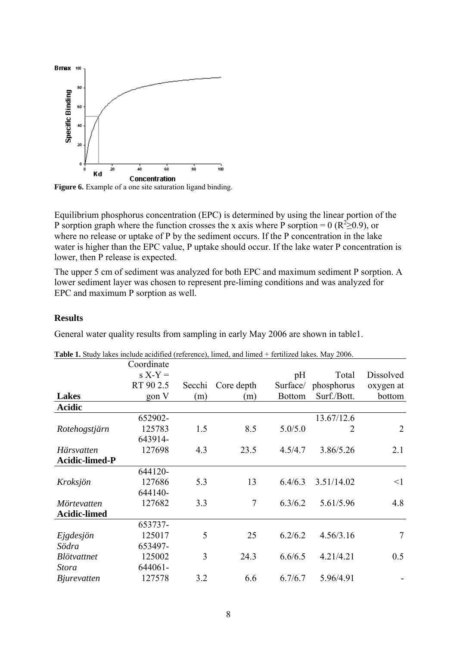

Figure 6. Example of a one site saturation ligand binding.

Equilibrium phosphorus concentration (EPC) is determined by using the linear portion of the P sorption graph where the function crosses the x axis where P sorption = 0 ( $R^2 \ge 0.9$ ), or where no release or uptake of P by the sediment occurs. If the P concentration in the lake water is higher than the EPC value, P uptake should occur. If the lake water P concentration is lower, then P release is expected.

The upper 5 cm of sediment was analyzed for both EPC and maximum sediment P sorption. A lower sediment layer was chosen to represent pre-liming conditions and was analyzed for EPC and maximum P sorption as well.

#### **Results**

General water quality results from sampling in early May 2006 are shown in table1.

|                       | Coordinate |        |            |               |             |           |
|-----------------------|------------|--------|------------|---------------|-------------|-----------|
|                       | $S X-Y =$  |        |            | pH            | Total       | Dissolved |
|                       | RT 90 2.5  | Secchi | Core depth | Surface/      | phosphorus  | oxygen at |
| <b>Lakes</b>          | gon V      | (m)    | (m)        | <b>Bottom</b> | Surf./Bott. | bottom    |
| <b>Acidic</b>         |            |        |            |               |             |           |
|                       | 652902-    |        |            |               | 13.67/12.6  |           |
| Rotehogstjärn         | 125783     | 1.5    | 8.5        | 5.0/5.0       | 2           | 2         |
|                       | 643914-    |        |            |               |             |           |
| Härsvatten            | 127698     | 4.3    | 23.5       | 4.5/4.7       | 3.86/5.26   | 2.1       |
| <b>Acidic-limed-P</b> |            |        |            |               |             |           |
|                       | 644120-    |        |            |               |             |           |
| Kroksjön              | 127686     | 5.3    | 13         | 6.4/6.3       | 3.51/14.02  | $\leq$ 1  |
|                       | 644140-    |        |            |               |             |           |
| Mörtevatten           | 127682     | 3.3    | $\tau$     | 6.3/6.2       | 5.61/5.96   | 4.8       |
| <b>Acidic-limed</b>   |            |        |            |               |             |           |
|                       | 653737-    |        |            |               |             |           |
| Ejgdesjön             | 125017     | 5      | 25         | 6.2/6.2       | 4.56/3.16   | 7         |
| Södra                 | 653497-    |        |            |               |             |           |
| <b>Blötvattnet</b>    | 125002     | 3      | 24.3       | 6.6/6.5       | 4.21/4.21   | 0.5       |
| <i>Stora</i>          | 644061-    |        |            |               |             |           |
| <i>B</i> jurevatten   | 127578     | 3.2    | 6.6        | 6.7/6.7       | 5.96/4.91   |           |

**Table 1.** Study lakes include acidified (reference), limed, and limed + fertilized lakes. May 2006.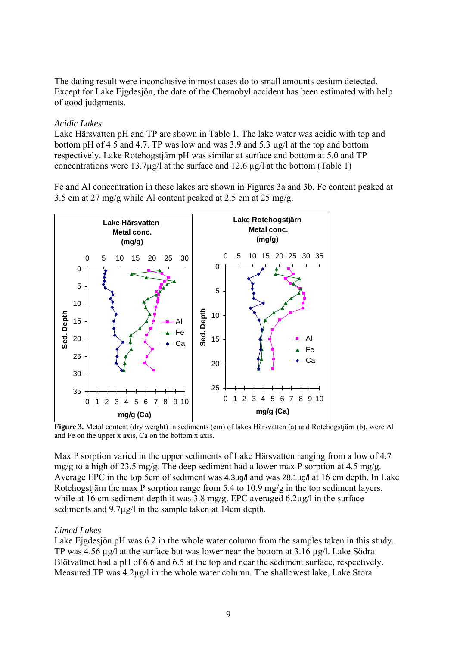The dating result were inconclusive in most cases do to small amounts cesium detected. Except for Lake Ejgdesjön, the date of the Chernobyl accident has been estimated with help of good judgments.

#### *Acidic Lakes*

Lake Härsvatten pH and TP are shown in Table 1. The lake water was acidic with top and bottom pH of 4.5 and 4.7. TP was low and was 3.9 and 5.3 µg/l at the top and bottom respectively. Lake Rotehogstjärn pH was similar at surface and bottom at 5.0 and TP concentrations were 13.7 $\mu$ g/l at the surface and 12.6  $\mu$ g/l at the bottom (Table 1)

Fe and Al concentration in these lakes are shown in Figures 3a and 3b. Fe content peaked at 3.5 cm at 27 mg/g while Al content peaked at 2.5 cm at 25 mg/g.



**Figure 3.** Metal content (dry weight) in sediments (cm) of lakes Härsvatten (a) and Rotehogstjärn (b), were Al and Fe on the upper x axis, Ca on the bottom x axis.

Max P sorption varied in the upper sediments of Lake Härsvatten ranging from a low of 4.7  $mg/g$  to a high of 23.5 mg/g. The deep sediment had a lower max P sorption at 4.5 mg/g. Average EPC in the top 5cm of sediment was 4.3µg/l and was 28.1µg/l at 16 cm depth. In Lake Rotehogstjärn the max P sorption range from 5.4 to 10.9 mg/g in the top sediment layers, while at 16 cm sediment depth it was 3.8 mg/g. EPC averaged 6.2µg/l in the surface sediments and  $9.7\mu$ g/l in the sample taken at 14cm depth.

#### *Limed Lakes*

Lake Ejgdesjön pH was 6.2 in the whole water column from the samples taken in this study. TP was 4.56 ug/l at the surface but was lower near the bottom at 3.16 ug/l. Lake Södra Blötvattnet had a pH of 6.6 and 6.5 at the top and near the sediment surface, respectively. Measured TP was 4.2µg/l in the whole water column. The shallowest lake, Lake Stora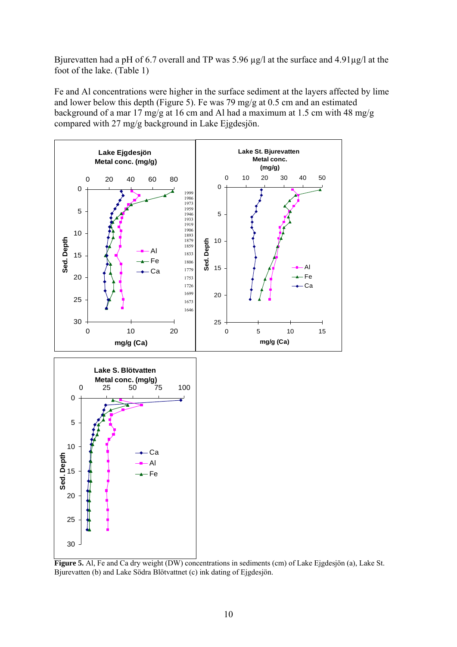Bjurevatten had a pH of 6.7 overall and TP was 5.96  $\mu$ g/l at the surface and 4.91 $\mu$ g/l at the foot of the lake. (Table 1)

Fe and Al concentrations were higher in the surface sediment at the layers affected by lime and lower below this depth (Figure 5). Fe was 79 mg/g at 0.5 cm and an estimated background of a mar 17 mg/g at 16 cm and Al had a maximum at 1.5 cm with 48 mg/g compared with 27 mg/g background in Lake Ejgdesjön.



**Figure 5.** Al, Fe and Ca dry weight (DW) concentrations in sediments (cm) of Lake Ejgdesjön (a), Lake St. Bjurevatten (b) and Lake Södra Blötvattnet (c) ink dating of Ejgdesjön.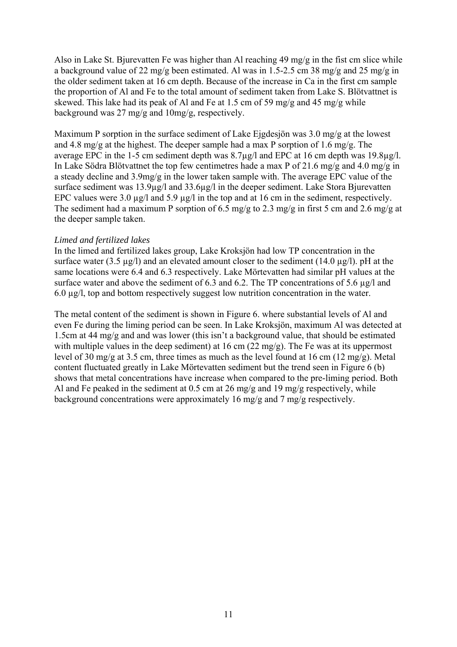Also in Lake St. Bjurevatten Fe was higher than Al reaching 49 mg/g in the fist cm slice while a background value of 22 mg/g been estimated. Al was in 1.5-2.5 cm 38 mg/g and 25 mg/g in the older sediment taken at 16 cm depth. Because of the increase in Ca in the first cm sample the proportion of Al and Fe to the total amount of sediment taken from Lake S. Blötvattnet is skewed. This lake had its peak of Al and Fe at 1.5 cm of 59 mg/g and 45 mg/g while background was 27 mg/g and 10mg/g, respectively.

Maximum P sorption in the surface sediment of Lake Ejgdesjön was 3.0 mg/g at the lowest and 4.8 mg/g at the highest. The deeper sample had a max P sorption of 1.6 mg/g. The average EPC in the 1-5 cm sediment depth was 8.7µg/l and EPC at 16 cm depth was 19.8µg/l. In Lake Södra Blötvattnet the top few centimetres hade a max P of 21.6 mg/g and 4.0 mg/g in a steady decline and 3.9mg/g in the lower taken sample with. The average EPC value of the surface sediment was 13.9µg/l and 33.6µg/l in the deeper sediment. Lake Stora Bjurevatten EPC values were 3.0  $\mu$ g/l and 5.9  $\mu$ g/l in the top and at 16 cm in the sediment, respectively. The sediment had a maximum P sorption of 6.5 mg/g to 2.3 mg/g in first 5 cm and 2.6 mg/g at the deeper sample taken.

#### *Limed and fertilized lakes*

In the limed and fertilized lakes group, Lake Kroksjön had low TP concentration in the surface water (3.5  $\mu$ g/l) and an elevated amount closer to the sediment (14.0  $\mu$ g/l). pH at the same locations were 6.4 and 6.3 respectively. Lake Mörtevatten had similar pH values at the surface water and above the sediment of 6.3 and 6.2. The TP concentrations of 5.6  $\mu$ g/l and 6.0 µg/l, top and bottom respectively suggest low nutrition concentration in the water.

The metal content of the sediment is shown in Figure 6. where substantial levels of Al and even Fe during the liming period can be seen. In Lake Kroksjön, maximum Al was detected at 1.5cm at 44 mg/g and and was lower (this isn't a background value, that should be estimated with multiple values in the deep sediment) at 16 cm  $(22 \text{ mg/g})$ . The Fe was at its uppermost level of 30 mg/g at 3.5 cm, three times as much as the level found at 16 cm (12 mg/g). Metal content fluctuated greatly in Lake Mörtevatten sediment but the trend seen in Figure 6 (b) shows that metal concentrations have increase when compared to the pre-liming period. Both Al and Fe peaked in the sediment at 0.5 cm at 26 mg/g and 19 mg/g respectively, while background concentrations were approximately 16 mg/g and 7 mg/g respectively.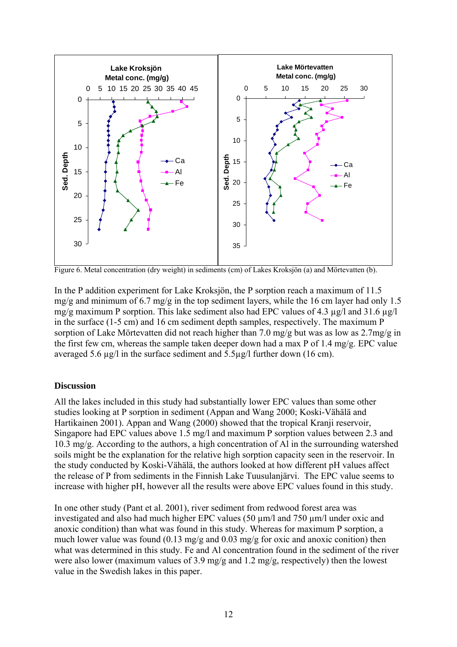

Figure 6. Metal concentration (dry weight) in sediments (cm) of Lakes Kroksjön (a) and Mörtevatten (b).

In the P addition experiment for Lake Kroksjön, the P sorption reach a maximum of 11.5 mg/g and minimum of 6.7 mg/g in the top sediment layers, while the 16 cm layer had only 1.5 mg/g maximum P sorption. This lake sediment also had EPC values of 4.3 µg/l and 31.6 µg/l in the surface (1-5 cm) and 16 cm sediment depth samples, respectively. The maximum P sorption of Lake Mörtevatten did not reach higher than 7.0 mg/g but was as low as 2.7mg/g in the first few cm, whereas the sample taken deeper down had a max P of 1.4 mg/g. EPC value averaged 5.6 µg/l in the surface sediment and 5.5µg/l further down (16 cm).

#### **Discussion**

All the lakes included in this study had substantially lower EPC values than some other studies looking at P sorption in sediment (Appan and Wang 2000; Koski-Vähälä and Hartikainen 2001). Appan and Wang (2000) showed that the tropical Kranji reservoir, Singapore had EPC values above 1.5 mg/l and maximum P sorption values between 2.3 and 10.3 mg/g. According to the authors, a high concentration of Al in the surrounding watershed soils might be the explanation for the relative high sorption capacity seen in the reservoir. In the study conducted by Koski-Vähälä, the authors looked at how different pH values affect the release of P from sediments in the Finnish Lake Tuusulanjärvi. The EPC value seems to increase with higher pH, however all the results were above EPC values found in this study.

In one other study (Pant et al. 2001), river sediment from redwood forest area was investigated and also had much higher EPC values (50 µm/l and 750 µm/l under oxic and anoxic condition) than what was found in this study. Whereas for maximum P sorption, a much lower value was found (0.13 mg/g and 0.03 mg/g for oxic and anoxic conition) then what was determined in this study. Fe and Al concentration found in the sediment of the river were also lower (maximum values of 3.9 mg/g and 1.2 mg/g, respectively) then the lowest value in the Swedish lakes in this paper.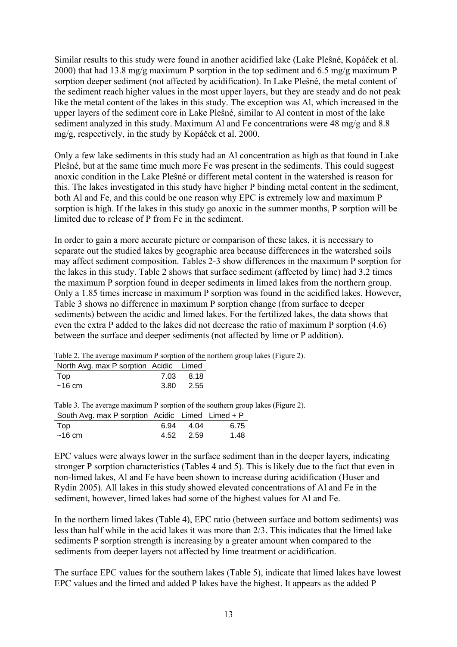Similar results to this study were found in another acidified lake (Lake Pleŝné, Kopáček et al. 2000) that had 13.8 mg/g maximum P sorption in the top sediment and 6.5 mg/g maximum P sorption deeper sediment (not affected by acidification). In Lake Pleŝné, the metal content of the sediment reach higher values in the most upper layers, but they are steady and do not peak like the metal content of the lakes in this study. The exception was Al, which increased in the upper layers of the sediment core in Lake Pleŝné, similar to Al content in most of the lake sediment analyzed in this study. Maximum Al and Fe concentrations were 48 mg/g and 8.8 mg/g, respectively, in the study by Kopáček et al. 2000.

Only a few lake sediments in this study had an Al concentration as high as that found in Lake Pleŝné, but at the same time much more Fe was present in the sediments. This could suggest anoxic condition in the Lake Pleŝné or different metal content in the watershed is reason for this. The lakes investigated in this study have higher P binding metal content in the sediment, both Al and Fe, and this could be one reason why EPC is extremely low and maximum P sorption is high. If the lakes in this study go anoxic in the summer months, P sorption will be limited due to release of P from Fe in the sediment.

In order to gain a more accurate picture or comparison of these lakes, it is necessary to separate out the studied lakes by geographic area because differences in the watershed soils may affect sediment composition. Tables 2-3 show differences in the maximum P sorption for the lakes in this study. Table 2 shows that surface sediment (affected by lime) had 3.2 times the maximum P sorption found in deeper sediments in limed lakes from the northern group. Only a 1.85 times increase in maximum P sorption was found in the acidified lakes. However, Table 3 shows no difference in maximum P sorption change (from surface to deeper sediments) between the acidic and limed lakes. For the fertilized lakes, the data shows that even the extra P added to the lakes did not decrease the ratio of maximum P sorption (4.6) between the surface and deeper sediments (not affected by lime or P addition).

Table 2. The average maximum P sorption of the northern group lakes (Figure 2).

| North Avg. max P sorption Acidic Limed |           |
|----------------------------------------|-----------|
| Top                                    | 7.03 8.18 |
| ~16~cm                                 | 3.80 2.55 |

Table 3. The average maximum P sorption of the southern group lakes (Figure 2).

| South Avg. max P sorption Acidic Limed Limed + P |           |      |
|--------------------------------------------------|-----------|------|
| Top                                              | 6.94 4.04 | 6.75 |
| ~16~cm                                           | 4.52 2.59 | 1.48 |

EPC values were always lower in the surface sediment than in the deeper layers, indicating stronger P sorption characteristics (Tables 4 and 5). This is likely due to the fact that even in non-limed lakes, Al and Fe have been shown to increase during acidification (Huser and Rydin 2005). All lakes in this study showed elevated concentrations of Al and Fe in the sediment, however, limed lakes had some of the highest values for Al and Fe.

In the northern limed lakes (Table 4), EPC ratio (between surface and bottom sediments) was less than half while in the acid lakes it was more than 2/3. This indicates that the limed lake sediments P sorption strength is increasing by a greater amount when compared to the sediments from deeper layers not affected by lime treatment or acidification.

The surface EPC values for the southern lakes (Table 5), indicate that limed lakes have lowest EPC values and the limed and added P lakes have the highest. It appears as the added P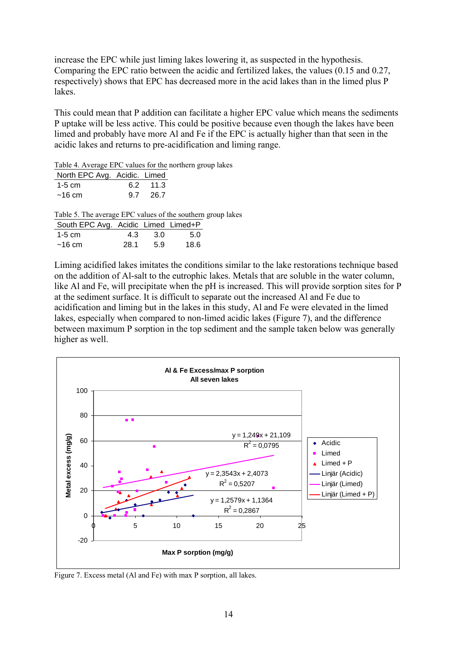increase the EPC while just liming lakes lowering it, as suspected in the hypothesis. Comparing the EPC ratio between the acidic and fertilized lakes, the values (0.15 and 0.27, respectively) shows that EPC has decreased more in the acid lakes than in the limed plus P lakes.

This could mean that P addition can facilitate a higher EPC value which means the sediments P uptake will be less active. This could be positive because even though the lakes have been limed and probably have more Al and Fe if the EPC is actually higher than that seen in the acidic lakes and returns to pre-acidification and liming range.

Table 4. Average EPC values for the northern group lakes

| North EPC Avg. Acidic. Limed |          |  |
|------------------------------|----------|--|
| $1-5$ cm                     | 6.2 11.3 |  |
| ~16~cm                       | 9.7 26.7 |  |

Table 5. The average EPC values of the southern group lakes

| South EPC Avg. Acidic Limed Limed+P |      |     |      |
|-------------------------------------|------|-----|------|
| 1-5 $cm2$                           | 4.3  | -30 | 5.0  |
| ~16~cm                              | 28.1 | 5.9 | 18.6 |

Liming acidified lakes imitates the conditions similar to the lake restorations technique based on the addition of Al-salt to the eutrophic lakes. Metals that are soluble in the water column, like Al and Fe, will precipitate when the pH is increased. This will provide sorption sites for P at the sediment surface. It is difficult to separate out the increased Al and Fe due to acidification and liming but in the lakes in this study, Al and Fe were elevated in the limed lakes, especially when compared to non-limed acidic lakes (Figure 7), and the difference between maximum P sorption in the top sediment and the sample taken below was generally higher as well.



Figure 7. Excess metal (Al and Fe) with max P sorption, all lakes.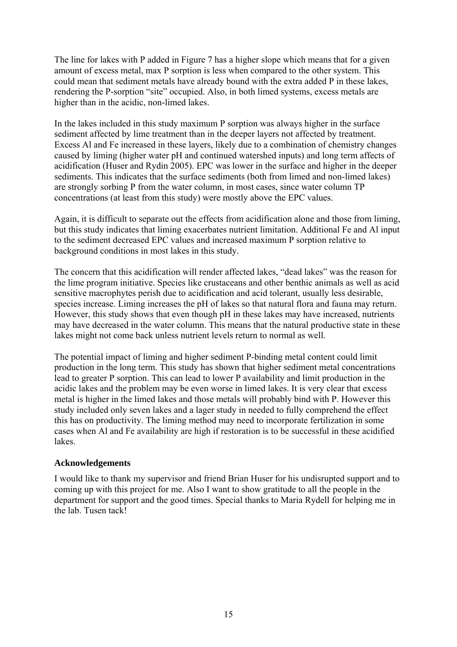The line for lakes with P added in Figure 7 has a higher slope which means that for a given amount of excess metal, max P sorption is less when compared to the other system. This could mean that sediment metals have already bound with the extra added P in these lakes, rendering the P-sorption "site" occupied. Also, in both limed systems, excess metals are higher than in the acidic, non-limed lakes.

In the lakes included in this study maximum P sorption was always higher in the surface sediment affected by lime treatment than in the deeper layers not affected by treatment. Excess Al and Fe increased in these layers, likely due to a combination of chemistry changes caused by liming (higher water pH and continued watershed inputs) and long term affects of acidification (Huser and Rydin 2005). EPC was lower in the surface and higher in the deeper sediments. This indicates that the surface sediments (both from limed and non-limed lakes) are strongly sorbing P from the water column, in most cases, since water column TP concentrations (at least from this study) were mostly above the EPC values.

Again, it is difficult to separate out the effects from acidification alone and those from liming, but this study indicates that liming exacerbates nutrient limitation. Additional Fe and Al input to the sediment decreased EPC values and increased maximum P sorption relative to background conditions in most lakes in this study.

The concern that this acidification will render affected lakes, "dead lakes" was the reason for the lime program initiative. Species like crustaceans and other benthic animals as well as acid sensitive macrophytes perish due to acidification and acid tolerant, usually less desirable, species increase. Liming increases the pH of lakes so that natural flora and fauna may return. However, this study shows that even though pH in these lakes may have increased, nutrients may have decreased in the water column. This means that the natural productive state in these lakes might not come back unless nutrient levels return to normal as well.

The potential impact of liming and higher sediment P-binding metal content could limit production in the long term. This study has shown that higher sediment metal concentrations lead to greater P sorption. This can lead to lower P availability and limit production in the acidic lakes and the problem may be even worse in limed lakes. It is very clear that excess metal is higher in the limed lakes and those metals will probably bind with P. However this study included only seven lakes and a lager study in needed to fully comprehend the effect this has on productivity. The liming method may need to incorporate fertilization in some cases when Al and Fe availability are high if restoration is to be successful in these acidified lakes.

#### **Acknowledgements**

I would like to thank my supervisor and friend Brian Huser for his undisrupted support and to coming up with this project for me. Also I want to show gratitude to all the people in the department for support and the good times. Special thanks to Maria Rydell for helping me in the lab. Tusen tack!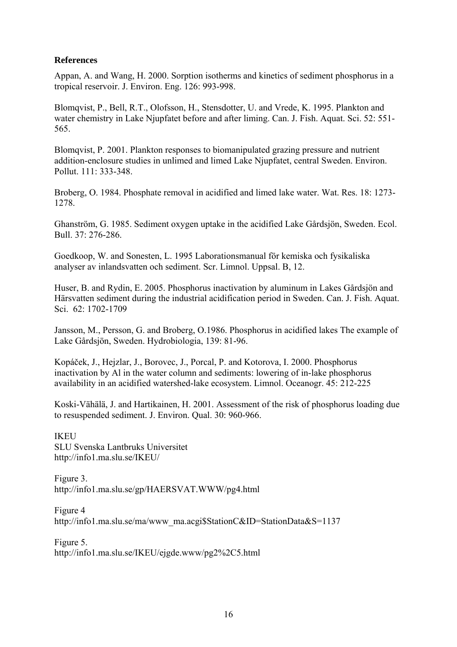#### **References**

Appan, A. and Wang, H. 2000. Sorption isotherms and kinetics of sediment phosphorus in a tropical reservoir. J. Environ. Eng. 126: 993-998.

Blomqvist, P., Bell, R.T., Olofsson, H., Stensdotter, U. and Vrede, K. 1995. Plankton and water chemistry in Lake Njupfatet before and after liming. Can. J. Fish. Aquat. Sci. 52: 551- 565.

Blomqvist, P. 2001. Plankton responses to biomanipulated grazing pressure and nutrient addition-enclosure studies in unlimed and limed Lake Njupfatet, central Sweden. Environ. Pollut. 111: 333-348.

Broberg, O. 1984. Phosphate removal in acidified and limed lake water. Wat. Res. 18: 1273- 1278.

Ghanström, G. 1985. Sediment oxygen uptake in the acidified Lake Gårdsjön, Sweden. Ecol. Bull. 37: 276-286.

Goedkoop, W. and Sonesten, L. 1995 Laborationsmanual för kemiska och fysikaliska analyser av inlandsvatten och sediment. Scr. Limnol. Uppsal. B, 12.

Huser, B. and Rydin, E. 2005. Phosphorus inactivation by aluminum in Lakes Gårdsjön and Härsvatten sediment during the industrial acidification period in Sweden. Can. J. Fish. Aquat. Sci. 62: 1702-1709

Jansson, M., Persson, G. and Broberg, O.1986. Phosphorus in acidified lakes The example of Lake Gårdsjön, Sweden. Hydrobiologia, 139: 81-96.

Kopáček, J., Hejzlar, J., Borovec, J., Porcal, P. and Kotorova, I. 2000. Phosphorus inactivation by Al in the water column and sediments: lowering of in-lake phosphorus availability in an acidified watershed-lake ecosystem. Limnol. Oceanogr. 45: 212-225

Koski-Vähälä, J. and Hartikainen, H. 2001. Assessment of the risk of phosphorus loading due to resuspended sediment. J. Environ. Qual. 30: 960-966.

**IKEU** SLU Svenska Lantbruks Universitet http://info1.ma.slu.se/IKEU/

Figure 3. http://info1.ma.slu.se/gp/HAERSVAT.WWW/pg4.html

Figure 4 http://info1.ma.slu.se/ma/www\_ma.acgi\$StationC&ID=StationData&S=1137

Figure 5. http://info1.ma.slu.se/IKEU/ejgde.www/pg2%2C5.html